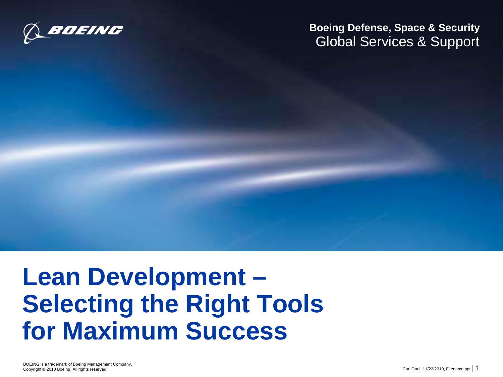

**Boeing Defense, Space & Security** Global Services & Support

# **Lean Development – Selecting the Right Tools for Maximum Success**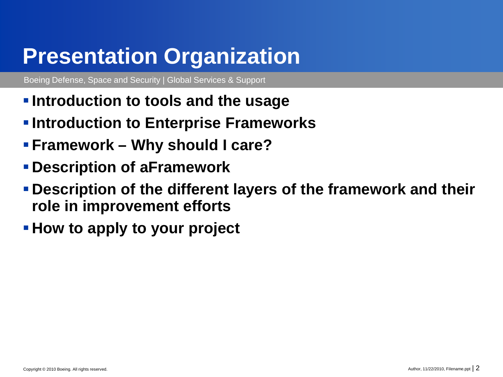## **Presentation Organization**

- **Introduction to tools and the usage**
- **Introduction to Enterprise Frameworks**
- **Framework – Why should I care?**
- **Description of aFramework**
- **Description of the different layers of the framework and their role in improvement efforts**
- **How to apply to your project**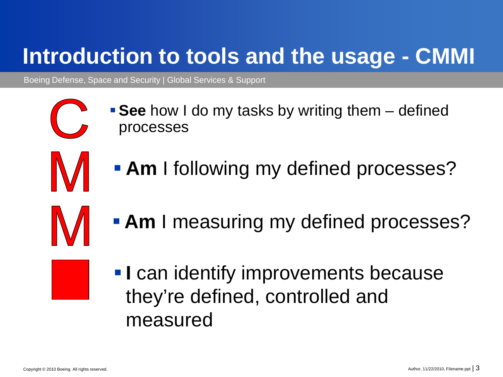### **Introduction to tools and the usage - CMMI**



- **See** how I do my tasks by writing them defined processes
	- **Am** I following my defined processes?
	- **Am** I measuring my defined processes?

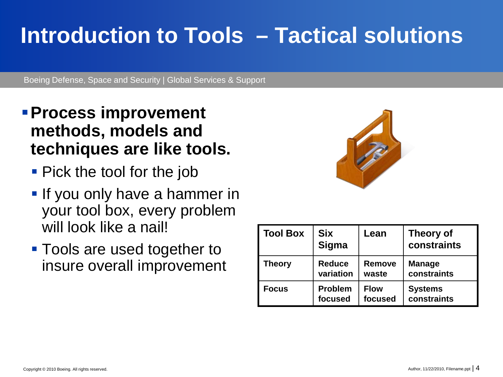## **Introduction to Tools – Tactical solutions**

Boeing Defense, Space and Security | Global Services & Support

### **Process improvement methods, models and techniques are like tools.**

- Pick the tool for the job
- **If you only have a hammer in** your tool box, every problem will look like a nail!
- **Tools are used together to** insure overall improvement



| l Tool Box   | <b>Six</b><br><b>Sigma</b> | Lean          | Theory of<br>constraints |
|--------------|----------------------------|---------------|--------------------------|
| Theory       | <b>Reduce</b>              | <b>Remove</b> | <b>Manage</b>            |
|              | variation                  | waste         | constraints              |
| <b>Focus</b> | <b>Problem</b>             | <b>Flow</b>   | <b>Systems</b>           |
|              | focused                    | focused       | constraints              |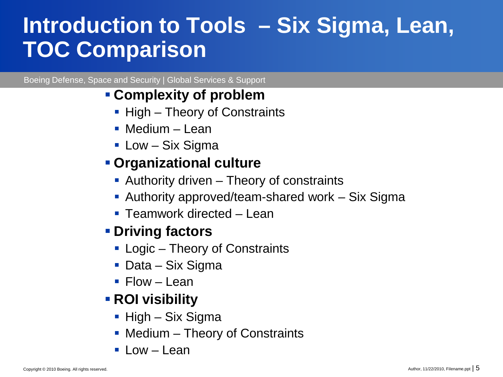### **Introduction to Tools – Six Sigma, Lean, TOC Comparison**

Boeing Defense, Space and Security | Global Services & Support

#### **Complexity of problem**

- High Theory of Constraints
- Medium Lean
- **Low Six Sigma**

#### **Organizational culture**

- Authority driven Theory of constraints
- **Authority approved/team-shared work Six Sigma**
- Teamwork directed Lean

#### **Driving factors**

- Logic Theory of Constraints
- Data Six Sigma
- $\blacksquare$  Flow Lean

#### **ROI visibility**

- $\blacksquare$  High Six Sigma
- Medium Theory of Constraints
- $\blacksquare$  Low Lean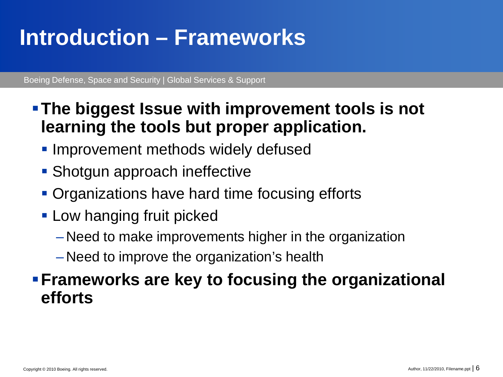## **Introduction – Frameworks**

Boeing Defense, Space and Security | Global Services & Support

**The biggest Issue with improvement tools is not learning the tools but proper application.**

- **Improvement methods widely defused**
- **Shotgun approach ineffective**
- **Organizations have hard time focusing efforts**
- **Low hanging fruit picked** 
	- Need to make improvements higher in the organization
	- Need to improve the organization's health

#### **Frameworks are key to focusing the organizational efforts**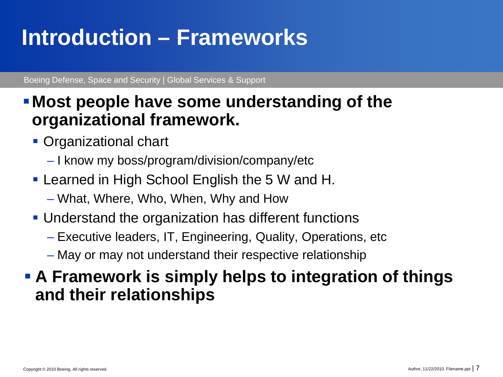## **Introduction – Frameworks**

Boeing Defense, Space and Security | Global Services & Support

### **Most people have some understanding of the organizational framework.**

- **Organizational chart** 
	- I know my boss/program/division/company/etc
- **Learned in High School English the 5 W and H.** 
	- What, Where, Who, When, Why and How
- **Understand the organization has different functions** 
	- Executive leaders, IT, Engineering, Quality, Operations, etc
	- May or may not understand their respective relationship

### **A Framework is simply helps to integration of things and their relationships**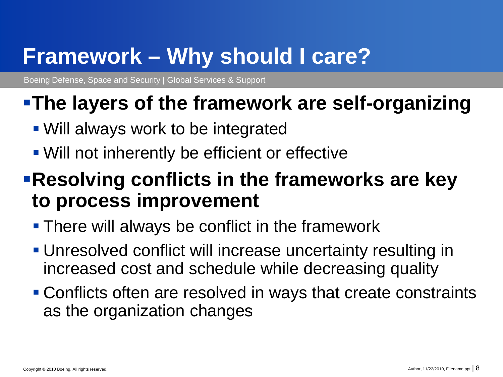### **Framework – Why should I care?**

Boeing Defense, Space and Security | Global Services & Support

### **The layers of the framework are self-organizing**

- Will always work to be integrated
- Will not inherently be efficient or effective

### **Resolving conflicts in the frameworks are key to process improvement**

- **There will always be conflict in the framework**
- Unresolved conflict will increase uncertainty resulting in increased cost and schedule while decreasing quality
- Conflicts often are resolved in ways that create constraints as the organization changes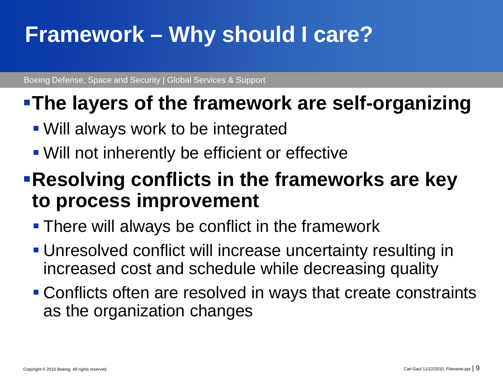## **Framework – Why should I care?**

Boeing Defense, Space and Security | Global Services & Support

### **The layers of the framework are self-organizing**

- Will always work to be integrated
- Will not inherently be efficient or effective

### **Resolving conflicts in the frameworks are key to process improvement**

- There will always be conflict in the framework
- Unresolved conflict will increase uncertainty resulting in increased cost and schedule while decreasing quality
- Conflicts often are resolved in ways that create constraints as the organization changes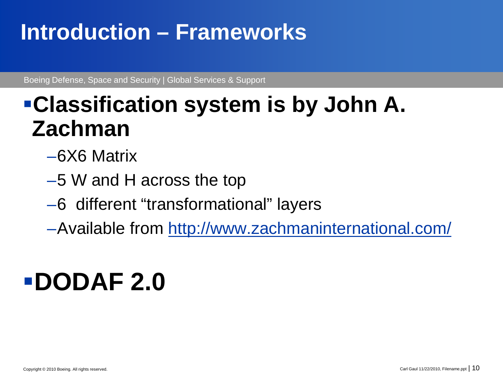### **Introduction – Frameworks**

Boeing Defense, Space and Security | Global Services & Support

### **Classification system is by John A. Zachman**

- –6X6 Matrix
- –5 W and H across the top
- –6 different "transformational" layers

–Available from<http://www.zachmaninternational.com/>

# **DODAF 2.0**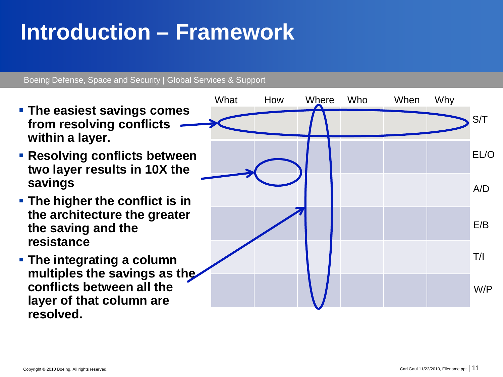## **Introduction – Framework**

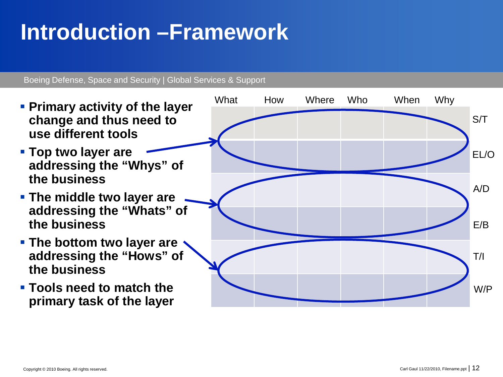## **Introduction –Framework**

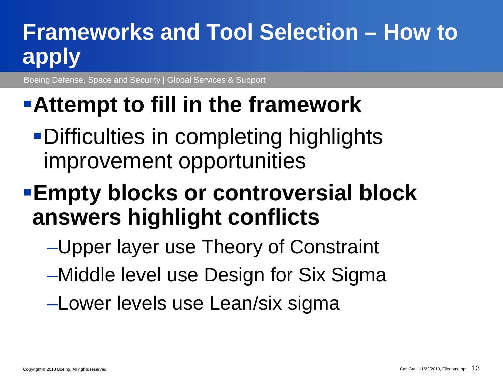# **Frameworks and Tool Selection – How to apply**

Boeing Defense, Space and Security | Global Services & Support

### **Attempt to fill in the framework**

Difficulties in completing highlights improvement opportunities

## **Empty blocks or controversial block answers highlight conflicts**

- –Upper layer use Theory of Constraint
- –Middle level use Design for Six Sigma
- –Lower levels use Lean/six sigma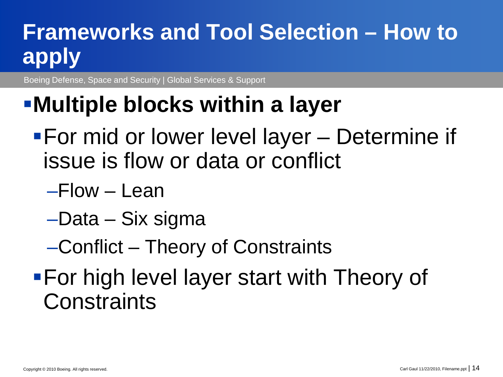# **Frameworks and Tool Selection – How to apply**

Boeing Defense, Space and Security | Global Services & Support

## **Multiple blocks within a layer**

- **For mid or lower level layer Determine if** issue is flow or data or conflict
	- –Flow Lean
	- –Data Six sigma
	- –Conflict Theory of Constraints
- **For high level layer start with Theory of Constraints**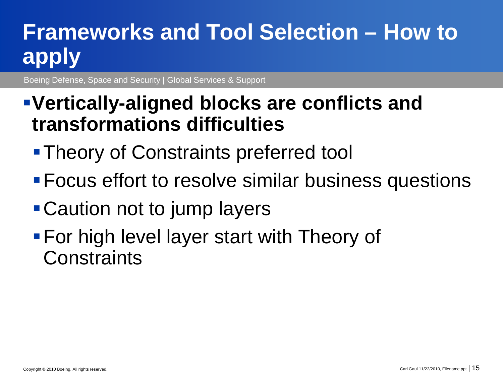# **Frameworks and Tool Selection – How to apply**

Boeing Defense, Space and Security | Global Services & Support

### **Vertically-aligned blocks are conflicts and transformations difficulties**

- **Theory of Constraints preferred tool**
- **Focus effort to resolve similar business questions**
- Caution not to jump layers
- **For high level layer start with Theory of Constraints**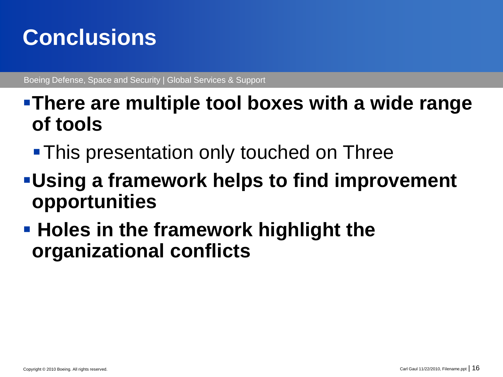# **Conclusions**

Boeing Defense, Space and Security | Global Services & Support

**There are multiple tool boxes with a wide range of tools**

- **This presentation only touched on Three**
- **Using a framework helps to find improvement opportunities**
- **Holes in the framework highlight the organizational conflicts**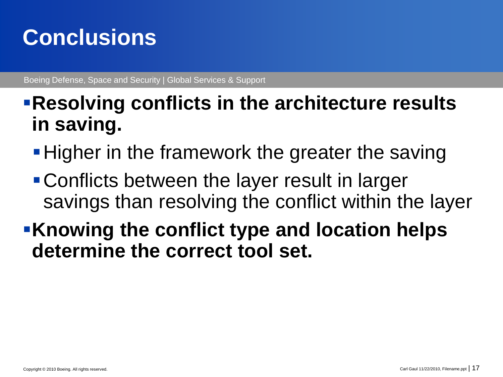# **Conclusions**

- **Resolving conflicts in the architecture results in saving.**
	- **Higher in the framework the greater the saving**
	- **Conflicts between the layer result in larger** savings than resolving the conflict within the layer
- **Knowing the conflict type and location helps determine the correct tool set.**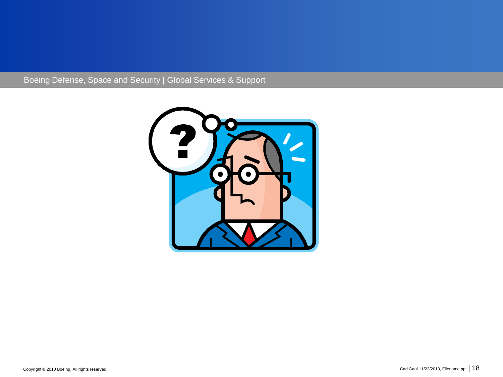